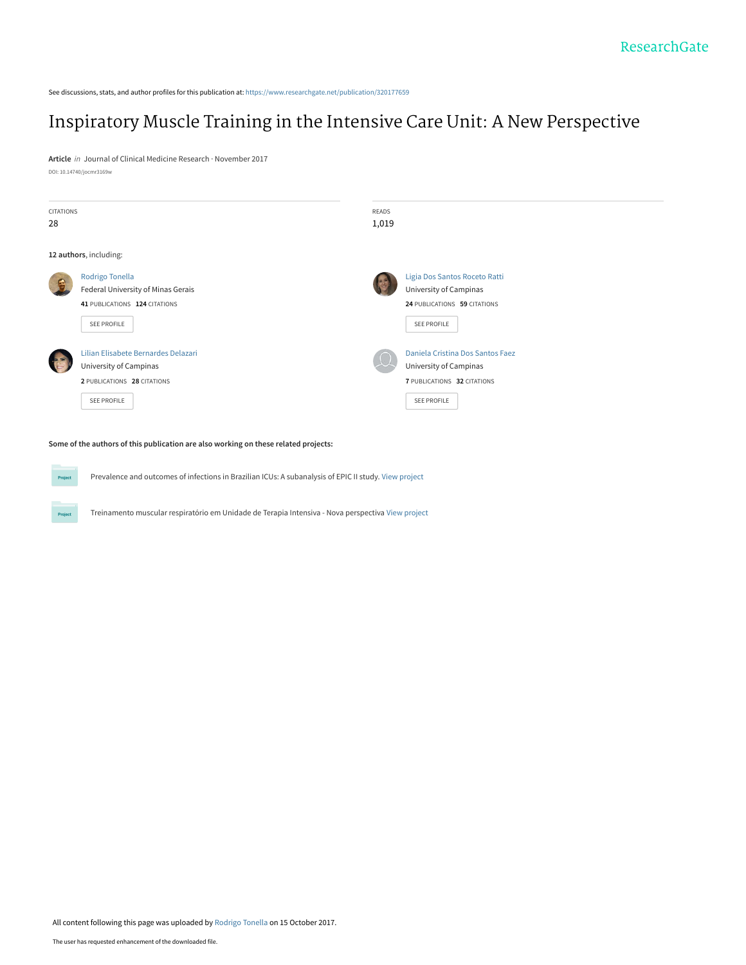See discussions, stats, and author profiles for this publication at: [https://www.researchgate.net/publication/320177659](https://www.researchgate.net/publication/320177659_Inspiratory_Muscle_Training_in_the_Intensive_Care_Unit_A_New_Perspective?enrichId=rgreq-e39c2d404e66613e37e82987f1f70372-XXX&enrichSource=Y292ZXJQYWdlOzMyMDE3NzY1OTtBUzo1NDk1OTEzNzMxMDcyMDBAMTUwODA0NDIwMjk0MQ%3D%3D&el=1_x_2&_esc=publicationCoverPdf)

# [Inspiratory Muscle Training in the Intensive Care Unit: A New Perspective](https://www.researchgate.net/publication/320177659_Inspiratory_Muscle_Training_in_the_Intensive_Care_Unit_A_New_Perspective?enrichId=rgreq-e39c2d404e66613e37e82987f1f70372-XXX&enrichSource=Y292ZXJQYWdlOzMyMDE3NzY1OTtBUzo1NDk1OTEzNzMxMDcyMDBAMTUwODA0NDIwMjk0MQ%3D%3D&el=1_x_3&_esc=publicationCoverPdf)

**Article** in Journal of Clinical Medicine Research · November 2017 DOI: 10.14740/jocmr3169w

| CITATIONS<br>28 |                                                                                                             | <b>READS</b><br>1,019 |                                                                                                                 |
|-----------------|-------------------------------------------------------------------------------------------------------------|-----------------------|-----------------------------------------------------------------------------------------------------------------|
|                 | 12 authors, including:                                                                                      |                       |                                                                                                                 |
|                 | Rodrigo Tonella<br>Federal University of Minas Gerais<br>41 PUBLICATIONS 124 CITATIONS<br>SEE PROFILE       |                       | Ligia Dos Santos Roceto Ratti<br>University of Campinas<br>24 PUBLICATIONS 59 CITATIONS<br><b>SEE PROFILE</b>   |
|                 | Lilian Elisabete Bernardes Delazari<br>University of Campinas<br>2 PUBLICATIONS 28 CITATIONS<br>SEE PROFILE |                       | Daniela Cristina Dos Santos Faez<br>University of Campinas<br>7 PUBLICATIONS 32 CITATIONS<br><b>SEE PROFILE</b> |

**Some of the authors of this publication are also working on these related projects:**

Proje

Prevalence and outcomes of infections in Brazilian ICUs: A subanalysis of EPIC II study. [View project](https://www.researchgate.net/project/Prevalence-and-outcomes-of-infections-in-Brazilian-ICUs-A-subanalysis-of-EPIC-II-study?enrichId=rgreq-e39c2d404e66613e37e82987f1f70372-XXX&enrichSource=Y292ZXJQYWdlOzMyMDE3NzY1OTtBUzo1NDk1OTEzNzMxMDcyMDBAMTUwODA0NDIwMjk0MQ%3D%3D&el=1_x_9&_esc=publicationCoverPdf) Project

Treinamento muscular respiratório em Unidade de Terapia Intensiva - Nova perspectiva [View project](https://www.researchgate.net/project/Treinamento-muscular-respiratorio-em-Unidade-de-Terapia-Intensiva-Nova-perspectiva?enrichId=rgreq-e39c2d404e66613e37e82987f1f70372-XXX&enrichSource=Y292ZXJQYWdlOzMyMDE3NzY1OTtBUzo1NDk1OTEzNzMxMDcyMDBAMTUwODA0NDIwMjk0MQ%3D%3D&el=1_x_9&_esc=publicationCoverPdf)

All content following this page was uploaded by [Rodrigo Tonella](https://www.researchgate.net/profile/Rodrigo-Tonella?enrichId=rgreq-e39c2d404e66613e37e82987f1f70372-XXX&enrichSource=Y292ZXJQYWdlOzMyMDE3NzY1OTtBUzo1NDk1OTEzNzMxMDcyMDBAMTUwODA0NDIwMjk0MQ%3D%3D&el=1_x_10&_esc=publicationCoverPdf) on 15 October 2017.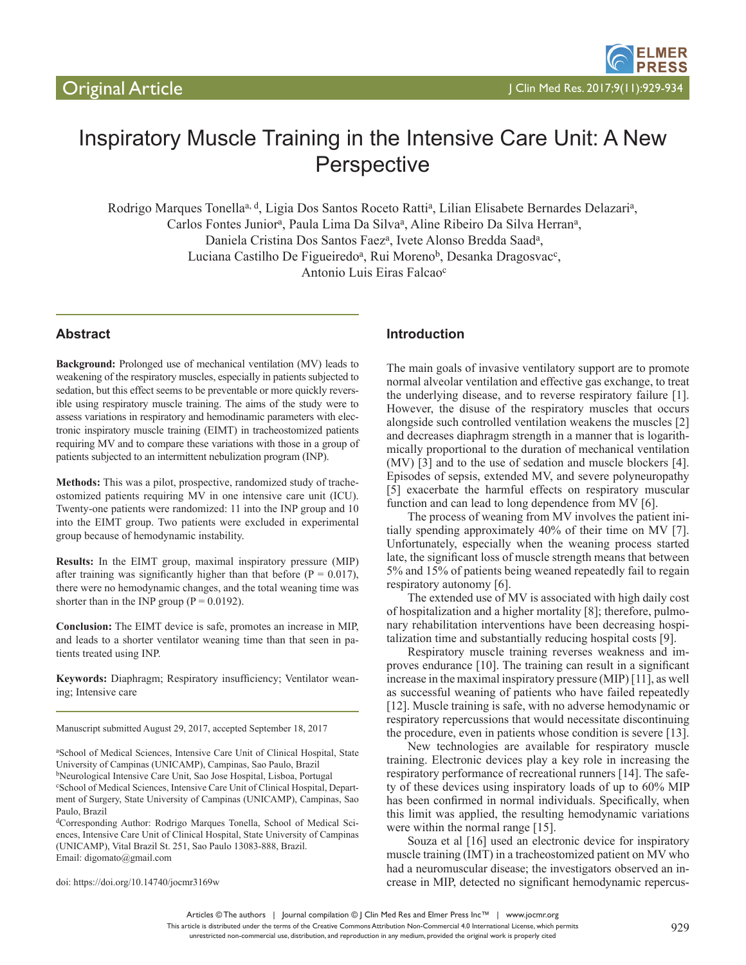

# Inspiratory Muscle Training in the Intensive Care Unit: A New **Perspective**

Rodrigo Marques Tonella<sup>a, d</sup>, Ligia Dos Santos Roceto Ratti<sup>a</sup>, Lilian Elisabete Bernardes Delazari<sup>a</sup>, Carlos Fontes Junior<sup>a</sup>, Paula Lima Da Silva<sup>a</sup>, Aline Ribeiro Da Silva Herran<sup>a</sup>, Daniela Cristina Dos Santos Faez<sup>a</sup>, Ivete Alonso Bredda Saad<sup>a</sup>, Luciana Castilho De Figueiredo<sup>a</sup>, Rui Moreno<sup>b</sup>, Desanka Dragosvac<sup>c</sup>, Antonio Luis Eiras Falcaoc

# **Abstract**

**Background:** Prolonged use of mechanical ventilation (MV) leads to weakening of the respiratory muscles, especially in patients subjected to sedation, but this effect seems to be preventable or more quickly reversible using respiratory muscle training. The aims of the study were to assess variations in respiratory and hemodinamic parameters with electronic inspiratory muscle training (EIMT) in tracheostomized patients requiring MV and to compare these variations with those in a group of patients subjected to an intermittent nebulization program (INP).

**Methods:** This was a pilot, prospective, randomized study of tracheostomized patients requiring MV in one intensive care unit (ICU). Twenty-one patients were randomized: 11 into the INP group and 10 into the EIMT group. Two patients were excluded in experimental group because of hemodynamic instability.

**Results:** In the EIMT group, maximal inspiratory pressure (MIP) after training was significantly higher than that before ( $P = 0.017$ ), there were no hemodynamic changes, and the total weaning time was shorter than in the INP group ( $P = 0.0192$ ).

**Conclusion:** The EIMT device is safe, promotes an increase in MIP, and leads to a shorter ventilator weaning time than that seen in patients treated using INP.

**Keywords:** Diaphragm; Respiratory insufficiency; Ventilator weaning; Intensive care

Manuscript submitted August 29, 2017, accepted September 18, 2017

doi: https://doi.org/10.14740/jocmr3169w

#### **Introduction**

The main goals of invasive ventilatory support are to promote normal alveolar ventilation and effective gas exchange, to treat the underlying disease, and to reverse respiratory failure [1]. However, the disuse of the respiratory muscles that occurs alongside such controlled ventilation weakens the muscles [2] and decreases diaphragm strength in a manner that is logarithmically proportional to the duration of mechanical ventilation (MV) [3] and to the use of sedation and muscle blockers [4]. Episodes of sepsis, extended MV, and severe polyneuropathy [5] exacerbate the harmful effects on respiratory muscular function and can lead to long dependence from MV [6].

The process of weaning from MV involves the patient initially spending approximately 40% of their time on MV [7]. Unfortunately, especially when the weaning process started late, the significant loss of muscle strength means that between 5% and 15% of patients being weaned repeatedly fail to regain respiratory autonomy [6].

The extended use of MV is associated with high daily cost of hospitalization and a higher mortality [8]; therefore, pulmonary rehabilitation interventions have been decreasing hospitalization time and substantially reducing hospital costs [9].

Respiratory muscle training reverses weakness and improves endurance [10]. The training can result in a significant increase in the maximal inspiratory pressure (MIP) [11], as well as successful weaning of patients who have failed repeatedly [12]. Muscle training is safe, with no adverse hemodynamic or respiratory repercussions that would necessitate discontinuing the procedure, even in patients whose condition is severe [13].

New technologies are available for respiratory muscle training. Electronic devices play a key role in increasing the respiratory performance of recreational runners [14]. The safety of these devices using inspiratory loads of up to 60% MIP has been confirmed in normal individuals. Specifically, when this limit was applied, the resulting hemodynamic variations were within the normal range [15].

Souza et al [16] used an electronic device for inspiratory muscle training (IMT) in a tracheostomized patient on MV who had a neuromuscular disease; the investigators observed an increase in MIP, detected no significant hemodynamic repercus-

a School of Medical Sciences, Intensive Care Unit of Clinical Hospital, State University of Campinas (UNICAMP), Campinas, Sao Paulo, Brazil bNeurological Intensive Care Unit, Sao Jose Hospital, Lisboa, Portugal c School of Medical Sciences, Intensive Care Unit of Clinical Hospital, Department of Surgery, State University of Campinas (UNICAMP), Campinas, Sao Paulo, Brazil

dCorresponding Author: Rodrigo Marques Tonella, School of Medical Sciences, Intensive Care Unit of Clinical Hospital, State University of Campinas (UNICAMP), Vital Brazil St. 251, Sao Paulo 13083-888, Brazil. Email: digomato@gmail.com

Articles © The authors | Journal compilation © J Clin Med Res and Elmer Press Inc™ | www.jocmr.org

This article is distributed under the terms of the Creative Commons Attribution Non-Commercial 4.0 International License, which permits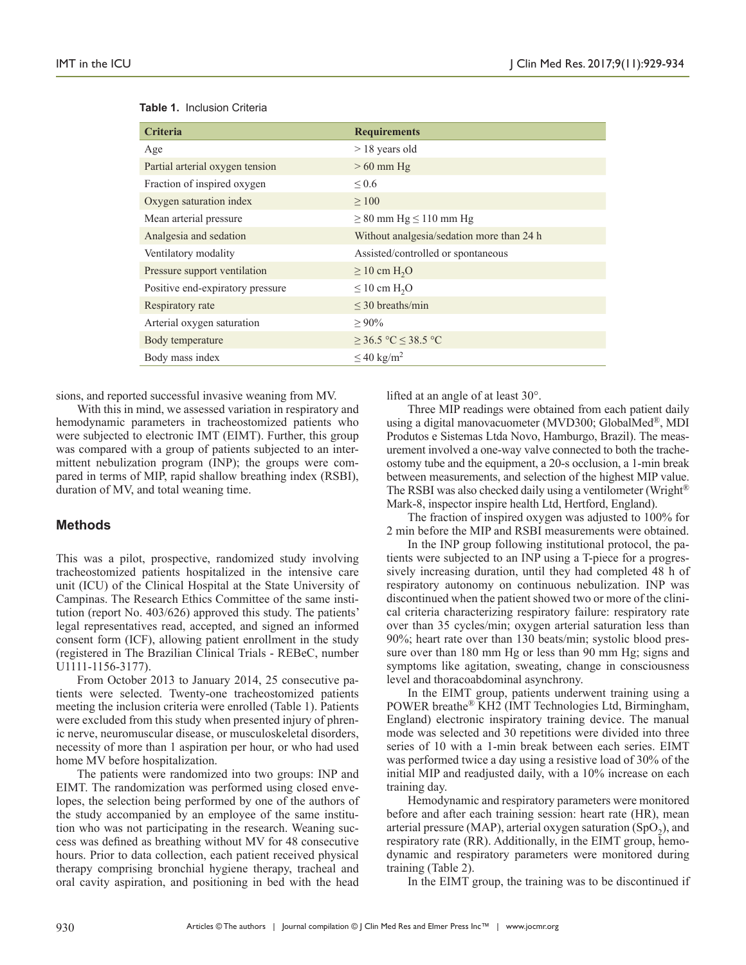| <b>Criteria</b>                  | <b>Requirements</b>                       |  |  |
|----------------------------------|-------------------------------------------|--|--|
| Age                              | $> 18$ years old                          |  |  |
| Partial arterial oxygen tension  | $>60$ mm Hg                               |  |  |
| Fraction of inspired oxygen      | ${}^{<}0.6$                               |  |  |
| Oxygen saturation index          | $\geq 100$                                |  |  |
| Mean arterial pressure           | $\geq 80$ mm Hg $\leq 110$ mm Hg          |  |  |
| Analgesia and sedation           | Without analgesia/sedation more than 24 h |  |  |
| Ventilatory modality             | Assisted/controlled or spontaneous        |  |  |
| Pressure support ventilation     | $\geq 10$ cm H <sub>2</sub> O             |  |  |
| Positive end-expiratory pressure | $\leq 10$ cm H <sub>2</sub> O             |  |  |
| Respiratory rate                 | $\leq$ 30 breaths/min                     |  |  |
| Arterial oxygen saturation       | $> 90\%$                                  |  |  |
| Body temperature                 | $\geq$ 36.5 °C ≤ 38.5 °C                  |  |  |
| Body mass index                  | $\leq 40 \text{ kg/m}^2$                  |  |  |

#### **Table 1.** Inclusion Criteria

sions, and reported successful invasive weaning from MV.

With this in mind, we assessed variation in respiratory and hemodynamic parameters in tracheostomized patients who were subjected to electronic IMT (EIMT). Further, this group was compared with a group of patients subjected to an intermittent nebulization program (INP); the groups were compared in terms of MIP, rapid shallow breathing index (RSBI), duration of MV, and total weaning time.

# **Methods**

This was a pilot, prospective, randomized study involving tracheostomized patients hospitalized in the intensive care unit (ICU) of the Clinical Hospital at the State University of Campinas. The Research Ethics Committee of the same institution (report No. 403/626) approved this study. The patients' legal representatives read, accepted, and signed an informed consent form (ICF), allowing patient enrollment in the study (registered in The Brazilian Clinical Trials - REBeC, number U1111-1156-3177).

From October 2013 to January 2014, 25 consecutive patients were selected. Twenty-one tracheostomized patients meeting the inclusion criteria were enrolled (Table 1). Patients were excluded from this study when presented injury of phrenic nerve, neuromuscular disease, or musculoskeletal disorders, necessity of more than 1 aspiration per hour, or who had used home MV before hospitalization.

The patients were randomized into two groups: INP and EIMT. The randomization was performed using closed envelopes, the selection being performed by one of the authors of the study accompanied by an employee of the same institution who was not participating in the research. Weaning success was defined as breathing without MV for 48 consecutive hours. Prior to data collection, each patient received physical therapy comprising bronchial hygiene therapy, tracheal and oral cavity aspiration, and positioning in bed with the head lifted at an angle of at least 30°.

Three MIP readings were obtained from each patient daily using a digital manovacuometer (MVD300; GlobalMed®, MDI Produtos e Sistemas Ltda Novo, Hamburgo, Brazil). The measurement involved a one-way valve connected to both the tracheostomy tube and the equipment, a 20-s occlusion, a 1-min break between measurements, and selection of the highest MIP value. The RSBI was also checked daily using a ventilometer (Wright® Mark-8, inspector inspire health Ltd, Hertford, England).

The fraction of inspired oxygen was adjusted to 100% for 2 min before the MIP and RSBI measurements were obtained.

In the INP group following institutional protocol, the patients were subjected to an INP using a T-piece for a progressively increasing duration, until they had completed 48 h of respiratory autonomy on continuous nebulization. INP was discontinued when the patient showed two or more of the clinical criteria characterizing respiratory failure: respiratory rate over than 35 cycles/min; oxygen arterial saturation less than 90%; heart rate over than 130 beats/min; systolic blood pressure over than 180 mm Hg or less than 90 mm Hg; signs and symptoms like agitation, sweating, change in consciousness level and thoracoabdominal asynchrony.

In the EIMT group, patients underwent training using a POWER breathe® KH2 (IMT Technologies Ltd, Birmingham, England) electronic inspiratory training device. The manual mode was selected and 30 repetitions were divided into three series of 10 with a 1-min break between each series. EIMT was performed twice a day using a resistive load of 30% of the initial MIP and readjusted daily, with a 10% increase on each training day.

Hemodynamic and respiratory parameters were monitored before and after each training session: heart rate (HR), mean arterial pressure (MAP), arterial oxygen saturation  $(SpO<sub>2</sub>)$ , and respiratory rate (RR). Additionally, in the EIMT group, hemodynamic and respiratory parameters were monitored during training (Table 2).

In the EIMT group, the training was to be discontinued if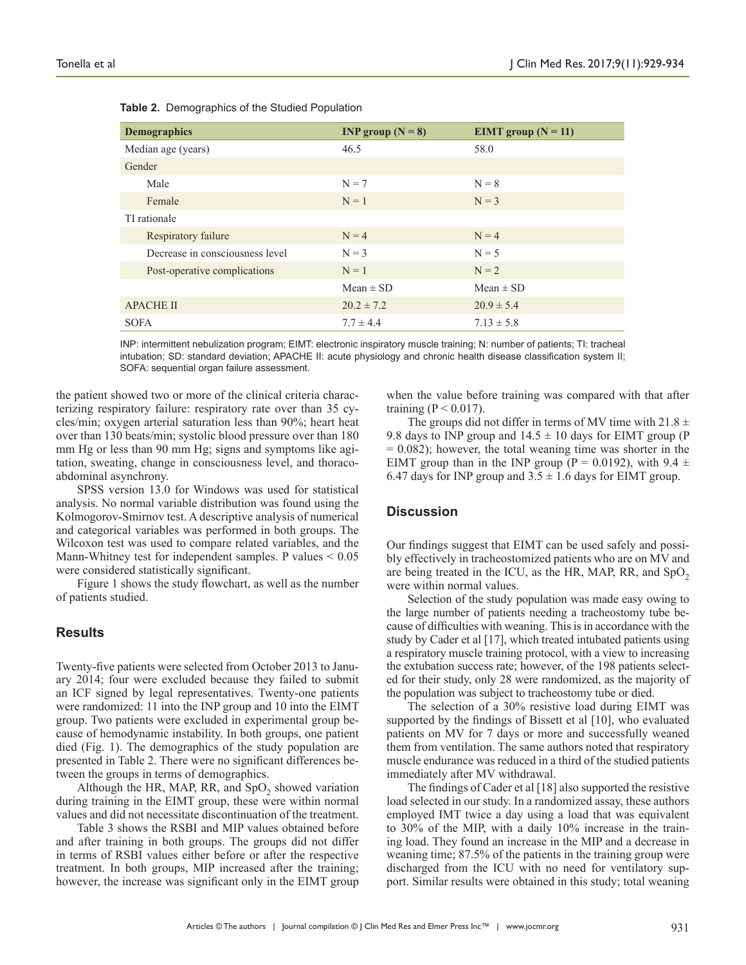| <b>Demographics</b>             | INP group $(N = 8)$ | EIMT group $(N = 11)$ |  |
|---------------------------------|---------------------|-----------------------|--|
| Median age (years)              | 46.5                | 58.0                  |  |
| Gender                          |                     |                       |  |
| Male                            | $N = 7$             | $N = 8$               |  |
| Female                          | $N = 1$             | $N = 3$               |  |
| TI rationale                    |                     |                       |  |
| Respiratory failure             | $N = 4$             | $N = 4$               |  |
| Decrease in consciousness level | $N = 3$             | $N = 5$               |  |
| Post-operative complications    | $N = 1$             | $N = 2$               |  |
|                                 | $Mean \pm SD$       | $Mean \pm SD$         |  |
| <b>APACHE II</b>                | $20.2 \pm 7.2$      | $20.9 \pm 5.4$        |  |
| <b>SOFA</b>                     | $7.7 \pm 4.4$       | $7.13 \pm 5.8$        |  |

|  | Table 2. Demographics of the Studied Population |  |  |  |
|--|-------------------------------------------------|--|--|--|
|--|-------------------------------------------------|--|--|--|

INP: intermittent nebulization program; EIMT: electronic inspiratory muscle training; N: number of patients; TI: tracheal intubation; SD: standard deviation; APACHE II: acute physiology and chronic health disease classification system II; SOFA: sequential organ failure assessment.

the patient showed two or more of the clinical criteria characterizing respiratory failure: respiratory rate over than 35 cycles/min; oxygen arterial saturation less than 90%; heart heat over than 130 beats/min; systolic blood pressure over than 180 mm Hg or less than 90 mm Hg; signs and symptoms like agitation, sweating, change in consciousness level, and thoracoabdominal asynchrony.

SPSS version 13.0 for Windows was used for statistical analysis. No normal variable distribution was found using the Kolmogorov-Smirnov test. A descriptive analysis of numerical and categorical variables was performed in both groups. The Wilcoxon test was used to compare related variables, and the Mann-Whitney test for independent samples. P values < 0.05 were considered statistically significant.

Figure 1 shows the study flowchart, as well as the number of patients studied.

#### **Results**

Twenty-five patients were selected from October 2013 to January 2014; four were excluded because they failed to submit an ICF signed by legal representatives. Twenty-one patients were randomized: 11 into the INP group and 10 into the EIMT group. Two patients were excluded in experimental group because of hemodynamic instability. In both groups, one patient died (Fig. 1). The demographics of the study population are presented in Table 2. There were no significant differences between the groups in terms of demographics.

Although the HR, MAP, RR, and  $SpO<sub>2</sub>$  showed variation during training in the EIMT group, these were within normal values and did not necessitate discontinuation of the treatment.

Table 3 shows the RSBI and MIP values obtained before and after training in both groups. The groups did not differ in terms of RSBI values either before or after the respective treatment. In both groups, MIP increased after the training; however, the increase was significant only in the EIMT group

when the value before training was compared with that after training ( $P < 0.017$ ).

The groups did not differ in terms of MV time with  $21.8 \pm$ 9.8 days to INP group and  $14.5 \pm 10$  days for EIMT group (P  $= 0.082$ ); however, the total weaning time was shorter in the EIMT group than in the INP group (P = 0.0192), with 9.4  $\pm$ 6.47 days for INP group and  $3.5 \pm 1.6$  days for EIMT group.

#### **Discussion**

Our findings suggest that EIMT can be used safely and possibly effectively in tracheostomized patients who are on MV and are being treated in the ICU, as the HR, MAP, RR, and  $SpO<sub>2</sub>$ were within normal values.

Selection of the study population was made easy owing to the large number of patients needing a tracheostomy tube because of difficulties with weaning. This is in accordance with the study by Cader et al [17], which treated intubated patients using a respiratory muscle training protocol, with a view to increasing the extubation success rate; however, of the 198 patients selected for their study, only 28 were randomized, as the majority of the population was subject to tracheostomy tube or died.

The selection of a 30% resistive load during EIMT was supported by the findings of Bissett et al [10], who evaluated patients on MV for 7 days or more and successfully weaned them from ventilation. The same authors noted that respiratory muscle endurance was reduced in a third of the studied patients immediately after MV withdrawal.

The findings of Cader et al [18] also supported the resistive load selected in our study. In a randomized assay, these authors employed IMT twice a day using a load that was equivalent to 30% of the MIP, with a daily 10% increase in the training load. They found an increase in the MIP and a decrease in weaning time; 87.5% of the patients in the training group were discharged from the ICU with no need for ventilatory support. Similar results were obtained in this study; total weaning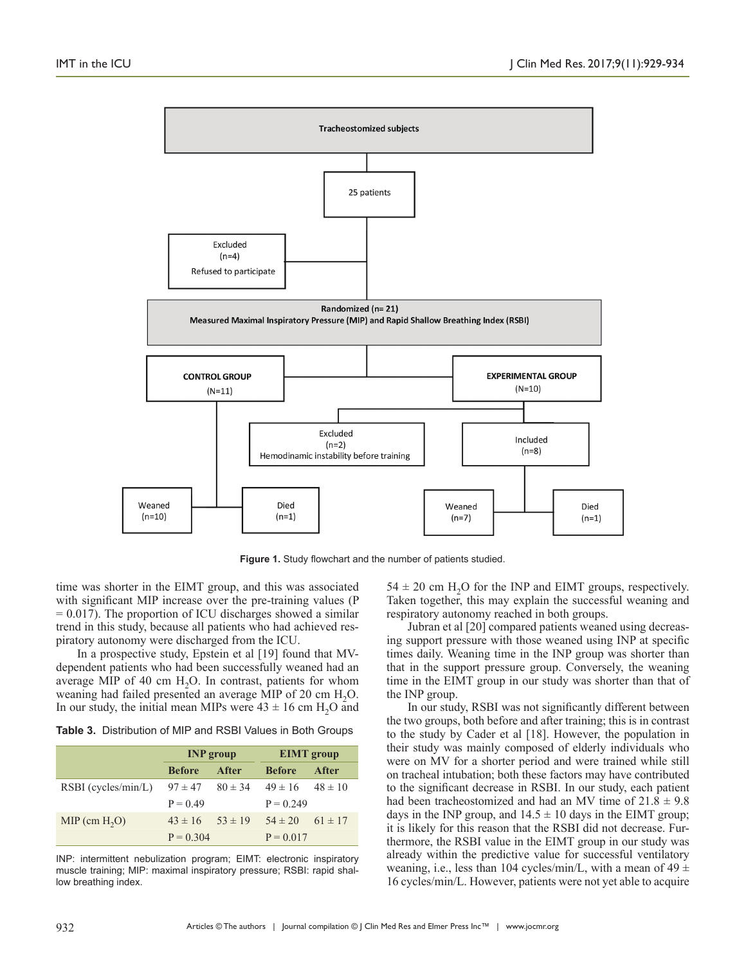

**Figure 1.** Study flowchart and the number of patients studied.

time was shorter in the EIMT group, and this was associated with significant MIP increase over the pre-training values (P  $= 0.017$ ). The proportion of ICU discharges showed a similar trend in this study, because all patients who had achieved respiratory autonomy were discharged from the ICU.

In a prospective study, Epstein et al [19] found that MVdependent patients who had been successfully weaned had an average MIP of 40 cm  $H<sub>2</sub>O$ . In contrast, patients for whom weaning had failed presented an average MIP of 20 cm H<sub>2</sub>O. In our study, the initial mean MIPs were  $43 \pm 16$  cm H<sub>2</sub>O and

**Table 3.** Distribution of MIP and RSBI Values in Both Groups

|                       | <b>INP</b> group |             | <b>EIMT</b> group       |             |
|-----------------------|------------------|-------------|-------------------------|-------------|
|                       | <b>Before</b>    | After       | <b>Before</b>           | After       |
| $RSBI$ (cycles/min/L) | $97 \pm 47$      | $80 \pm 34$ | $49 \pm 16$ $48 \pm 10$ |             |
|                       | $P = 0.49$       |             | $P = 0.249$             |             |
| $MIP$ (cm $H2O$ )     | $43 \pm 16$      | $53 \pm 19$ | $54 \pm 20$             | $61 \pm 17$ |
|                       | $P = 0.304$      |             | $P = 0.017$             |             |

INP: intermittent nebulization program; EIMT: electronic inspiratory muscle training; MIP: maximal inspiratory pressure; RSBI: rapid shallow breathing index.

 $54 \pm 20$  cm H<sub>2</sub>O for the INP and EIMT groups, respectively. Taken together, this may explain the successful weaning and respiratory autonomy reached in both groups.

Jubran et al [20] compared patients weaned using decreasing support pressure with those weaned using INP at specific times daily. Weaning time in the INP group was shorter than that in the support pressure group. Conversely, the weaning time in the EIMT group in our study was shorter than that of the INP group.

In our study, RSBI was not significantly different between the two groups, both before and after training; this is in contrast to the study by Cader et al [18]. However, the population in their study was mainly composed of elderly individuals who were on MV for a shorter period and were trained while still on tracheal intubation; both these factors may have contributed to the significant decrease in RSBI. In our study, each patient had been tracheostomized and had an MV time of  $21.8 \pm 9.8$ days in the INP group, and  $14.5 \pm 10$  days in the EIMT group; it is likely for this reason that the RSBI did not decrease. Furthermore, the RSBI value in the EIMT group in our study was already within the predictive value for successful ventilatory weaning, i.e., less than 104 cycles/min/L, with a mean of 49  $\pm$ 16 cycles/min/L. However, patients were not yet able to acquire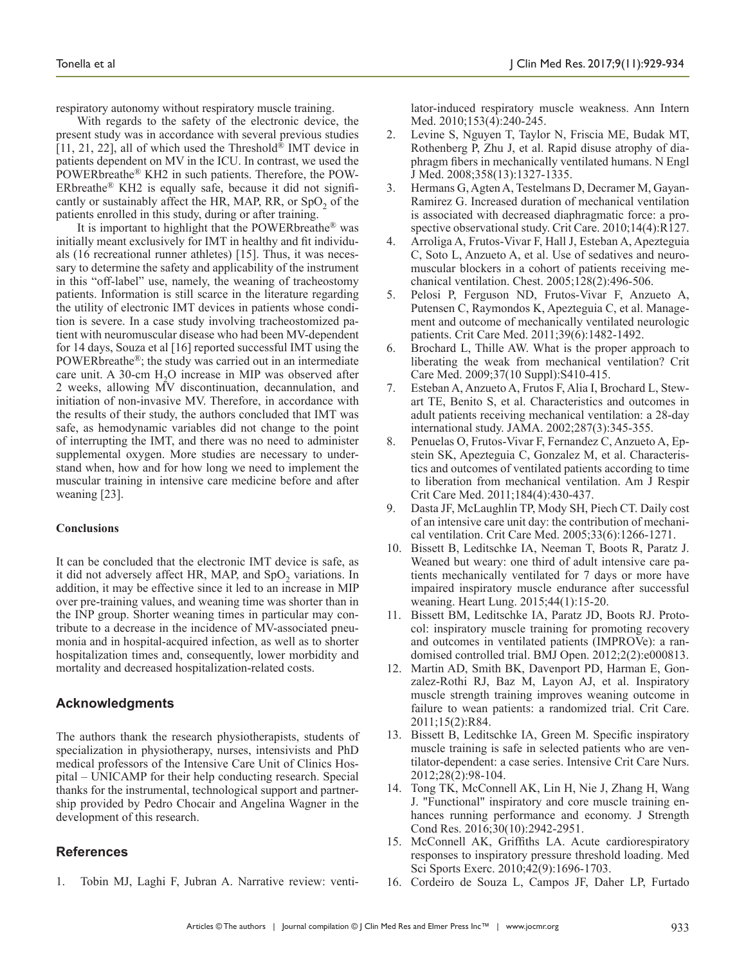respiratory autonomy without respiratory muscle training.

With regards to the safety of the electronic device, the present study was in accordance with several previous studies [11, 21, 22], all of which used the Threshold<sup>®</sup> IMT device in patients dependent on MV in the ICU. In contrast, we used the POWERbreathe® KH2 in such patients. Therefore, the POW-ERbreathe® KH2 is equally safe, because it did not significantly or sustainably affect the HR, MAP, RR, or  $SpO<sub>2</sub>$  of the patients enrolled in this study, during or after training.

It is important to highlight that the POWERbreathe® was initially meant exclusively for IMT in healthy and fit individuals (16 recreational runner athletes) [15]. Thus, it was necessary to determine the safety and applicability of the instrument in this "off-label" use, namely, the weaning of tracheostomy patients. Information is still scarce in the literature regarding the utility of electronic IMT devices in patients whose condition is severe. In a case study involving tracheostomized patient with neuromuscular disease who had been MV-dependent for 14 days, Souza et al [16] reported successful IMT using the POWERbreathe®; the study was carried out in an intermediate care unit. A 30-cm  $H<sub>2</sub>O$  increase in MIP was observed after 2 weeks, allowing MV discontinuation, decannulation, and initiation of non-invasive MV. Therefore, in accordance with the results of their study, the authors concluded that IMT was safe, as hemodynamic variables did not change to the point of interrupting the IMT, and there was no need to administer supplemental oxygen. More studies are necessary to understand when, how and for how long we need to implement the muscular training in intensive care medicine before and after weaning [23].

#### **Conclusions**

It can be concluded that the electronic IMT device is safe, as it did not adversely affect HR, MAP, and  $SpO<sub>2</sub>$  variations. In addition, it may be effective since it led to an increase in MIP over pre-training values, and weaning time was shorter than in the INP group. Shorter weaning times in particular may contribute to a decrease in the incidence of MV-associated pneumonia and in hospital-acquired infection, as well as to shorter hospitalization times and, consequently, lower morbidity and mortality and decreased hospitalization-related costs.

# **Acknowledgments**

The authors thank the research physiotherapists, students of specialization in physiotherapy, nurses, intensivists and PhD medical professors of the Intensive Care Unit of Clinics Hospital – UNICAMP for their help conducting research. Special thanks for the instrumental, technological support and partnership provided by Pedro Chocair and Angelina Wagner in the development of this research.

# **References**

1. Tobin MJ, Laghi F, Jubran A. Narrative review: venti-

lator-induced respiratory muscle weakness. Ann Intern Med. 2010;153(4):240-245.

- 2. Levine S, Nguyen T, Taylor N, Friscia ME, Budak MT, Rothenberg P, Zhu J, et al. Rapid disuse atrophy of diaphragm fibers in mechanically ventilated humans. N Engl J Med. 2008;358(13):1327-1335.
- 3. Hermans G, Agten A, Testelmans D, Decramer M, Gayan-Ramirez G. Increased duration of mechanical ventilation is associated with decreased diaphragmatic force: a prospective observational study. Crit Care. 2010;14(4):R127.
- 4. Arroliga A, Frutos-Vivar F, Hall J, Esteban A, Apezteguia C, Soto L, Anzueto A, et al. Use of sedatives and neuromuscular blockers in a cohort of patients receiving mechanical ventilation. Chest. 2005;128(2):496-506.
- 5. Pelosi P, Ferguson ND, Frutos-Vivar F, Anzueto A, Putensen C, Raymondos K, Apezteguia C, et al. Management and outcome of mechanically ventilated neurologic patients. Crit Care Med. 2011;39(6):1482-1492.
- 6. Brochard L, Thille AW. What is the proper approach to liberating the weak from mechanical ventilation? Crit Care Med. 2009;37(10 Suppl):S410-415.
- 7. Esteban A, Anzueto A, Frutos F, Alia I, Brochard L, Stewart TE, Benito S, et al. Characteristics and outcomes in adult patients receiving mechanical ventilation: a 28-day international study. JAMA. 2002;287(3):345-355.
- 8. Penuelas O, Frutos-Vivar F, Fernandez C, Anzueto A, Epstein SK, Apezteguia C, Gonzalez M, et al. Characteristics and outcomes of ventilated patients according to time to liberation from mechanical ventilation. Am J Respir Crit Care Med. 2011;184(4):430-437.
- 9. Dasta JF, McLaughlin TP, Mody SH, Piech CT. Daily cost of an intensive care unit day: the contribution of mechanical ventilation. Crit Care Med. 2005;33(6):1266-1271.
- 10. Bissett B, Leditschke IA, Neeman T, Boots R, Paratz J. Weaned but weary: one third of adult intensive care patients mechanically ventilated for 7 days or more have impaired inspiratory muscle endurance after successful weaning. Heart Lung. 2015;44(1):15-20.
- 11. Bissett BM, Leditschke IA, Paratz JD, Boots RJ. Protocol: inspiratory muscle training for promoting recovery and outcomes in ventilated patients (IMPROVe): a randomised controlled trial. BMJ Open. 2012;2(2):e000813.
- 12. Martin AD, Smith BK, Davenport PD, Harman E, Gonzalez-Rothi RJ, Baz M, Layon AJ, et al. Inspiratory muscle strength training improves weaning outcome in failure to wean patients: a randomized trial. Crit Care. 2011;15(2):R84.
- 13. Bissett B, Leditschke IA, Green M. Specific inspiratory muscle training is safe in selected patients who are ventilator-dependent: a case series. Intensive Crit Care Nurs. 2012;28(2):98-104.
- 14. Tong TK, McConnell AK, Lin H, Nie J, Zhang H, Wang J. "Functional" inspiratory and core muscle training enhances running performance and economy. J Strength Cond Res. 2016;30(10):2942-2951.
- 15. McConnell AK, Griffiths LA. Acute cardiorespiratory responses to inspiratory pressure threshold loading. Med Sci Sports Exerc. 2010;42(9):1696-1703.
- 16. Cordeiro de Souza L, Campos JF, Daher LP, Furtado